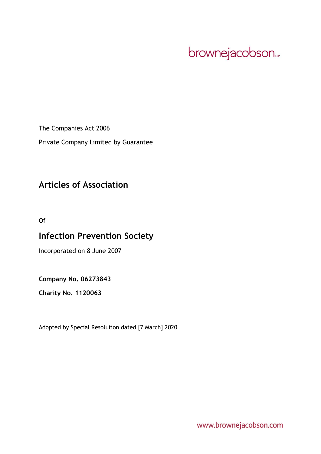# brownejacobson...

The Companies Act 2006

Private Company Limited by Guarantee

# **Articles of Association**

Of

# **Infection Prevention Society**

Incorporated on 8 June 2007

# **Company No. 06273843**

**Charity No. 1120063**

Adopted by Special Resolution dated [7 March] 2020

www.brownejacobson.com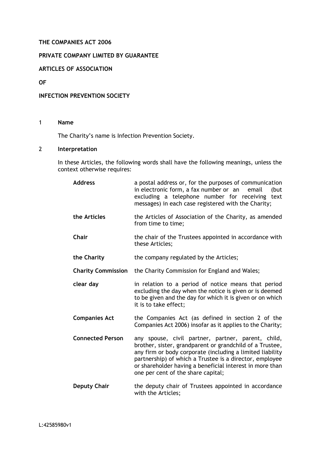# **THE COMPANIES ACT 2006**

# **PRIVATE COMPANY LIMITED BY GUARANTEE**

**ARTICLES OF ASSOCIATION** 

**OF** 

## **INFECTION PREVENTION SOCIETY**

# 1 **Name**

The Charity's name is Infection Prevention Society.

# 2 **Interpretation**

In these Articles, the following words shall have the following meanings, unless the context otherwise requires:

| <b>Address</b>            | a postal address or, for the purposes of communication<br>in electronic form, a fax number or an email<br>(but<br>excluding a telephone number for receiving text<br>messages) in each case registered with the Charity;                                                                                                                 |
|---------------------------|------------------------------------------------------------------------------------------------------------------------------------------------------------------------------------------------------------------------------------------------------------------------------------------------------------------------------------------|
| the Articles              | the Articles of Association of the Charity, as amended<br>from time to time;                                                                                                                                                                                                                                                             |
| Chair                     | the chair of the Trustees appointed in accordance with<br>these Articles;                                                                                                                                                                                                                                                                |
| the Charity               | the company regulated by the Articles;                                                                                                                                                                                                                                                                                                   |
| <b>Charity Commission</b> | the Charity Commission for England and Wales;                                                                                                                                                                                                                                                                                            |
| clear day                 | in relation to a period of notice means that period<br>excluding the day when the notice is given or is deemed<br>to be given and the day for which it is given or on which<br>it is to take effect;                                                                                                                                     |
| <b>Companies Act</b>      | the Companies Act (as defined in section 2 of the<br>Companies Act 2006) insofar as it applies to the Charity;                                                                                                                                                                                                                           |
| <b>Connected Person</b>   | any spouse, civil partner, partner, parent, child,<br>brother, sister, grandparent or grandchild of a Trustee,<br>any firm or body corporate (including a limited liability<br>partnership) of which a Trustee is a director, employee<br>or shareholder having a beneficial interest in more than<br>one per cent of the share capital; |
| <b>Deputy Chair</b>       | the deputy chair of Trustees appointed in accordance<br>with the Articles;                                                                                                                                                                                                                                                               |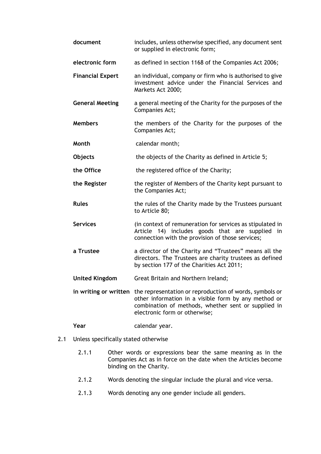| document                | includes, unless otherwise specified, any document sent<br>or supplied in electronic form;                                                                                                                                    |
|-------------------------|-------------------------------------------------------------------------------------------------------------------------------------------------------------------------------------------------------------------------------|
| electronic form         | as defined in section 1168 of the Companies Act 2006;                                                                                                                                                                         |
| <b>Financial Expert</b> | an individual, company or firm who is authorised to give<br>investment advice under the Financial Services and<br>Markets Act 2000;                                                                                           |
| <b>General Meeting</b>  | a general meeting of the Charity for the purposes of the<br>Companies Act;                                                                                                                                                    |
| <b>Members</b>          | the members of the Charity for the purposes of the<br>Companies Act;                                                                                                                                                          |
| Month                   | calendar month;                                                                                                                                                                                                               |
| <b>Objects</b>          | the objects of the Charity as defined in Article 5;                                                                                                                                                                           |
| the Office              | the registered office of the Charity;                                                                                                                                                                                         |
| the Register            | the register of Members of the Charity kept pursuant to<br>the Companies Act;                                                                                                                                                 |
| <b>Rules</b>            | the rules of the Charity made by the Trustees pursuant<br>to Article 80;                                                                                                                                                      |
| <b>Services</b>         | (in context of remuneration for services as stipulated in<br>Article 14) includes goods that are supplied in<br>connection with the provision of those services;                                                              |
| a Trustee               | a director of the Charity and "Trustees" means all the<br>directors. The Trustees are charity trustees as defined<br>by section 177 of the Charities Act 2011;                                                                |
| <b>United Kingdom</b>   | Great Britain and Northern Ireland;                                                                                                                                                                                           |
|                         | in writing or written the representation or reproduction of words, symbols or<br>other information in a visible form by any method or<br>combination of methods, whether sent or supplied in<br>electronic form or otherwise; |

2.1 Unless specifically stated otherwise

Year calendar year.

- 2.1.1 Other words or expressions bear the same meaning as in the Companies Act as in force on the date when the Articles become binding on the Charity.
- 2.1.2 Words denoting the singular include the plural and vice versa.
- 2.1.3 Words denoting any one gender include all genders.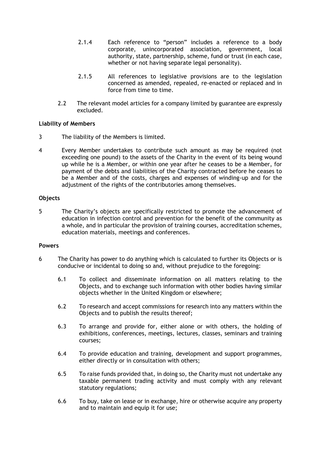- 2.1.4 Each reference to "person" includes a reference to a body corporate, unincorporated association, government, local authority, state, partnership, scheme, fund or trust (in each case, whether or not having separate legal personality).
- 2.1.5 All references to legislative provisions are to the legislation concerned as amended, repealed, re-enacted or replaced and in force from time to time.
- 2.2 The relevant model articles for a company limited by guarantee are expressly excluded.

# **Liability of Members**

- 3 The liability of the Members is limited.
- 4 Every Member undertakes to contribute such amount as may be required (not exceeding one pound) to the assets of the Charity in the event of its being wound up while he is a Member, or within one year after he ceases to be a Member, for payment of the debts and liabilities of the Charity contracted before he ceases to be a Member and of the costs, charges and expenses of winding-up and for the adjustment of the rights of the contributories among themselves.

# **Objects**

<span id="page-3-0"></span>5 The Charity's objects are specifically restricted to promote the advancement of education in infection control and prevention for the benefit of the community as a whole, and in particular the provision of training courses, accreditation schemes, education materials, meetings and conferences.

# **Powers**

- 6 The Charity has power to do anything which is calculated to further its Objects or is conducive or incidental to doing so and, without prejudice to the foregoing:
	- 6.1 To collect and disseminate information on all matters relating to the Objects, and to exchange such information with other bodies having similar objects whether in the United Kingdom or elsewhere;
	- 6.2 To research and accept commissions for research into any matters within the Objects and to publish the results thereof;
	- 6.3 To arrange and provide for, either alone or with others, the holding of exhibitions, conferences, meetings, lectures, classes, seminars and training courses;
	- 6.4 To provide education and training, development and support programmes, either directly or in consultation with others;
	- 6.5 To raise funds provided that, in doing so, the Charity must not undertake any taxable permanent trading activity and must comply with any relevant statutory regulations;
	- 6.6 To buy, take on lease or in exchange, hire or otherwise acquire any property and to maintain and equip it for use;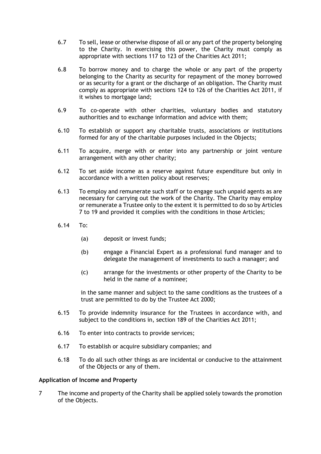- 6.7 To sell, lease or otherwise dispose of all or any part of the property belonging to the Charity. In exercising this power, the Charity must comply as appropriate with sections 117 to 123 of the Charities Act 2011;
- 6.8 To borrow money and to charge the whole or any part of the property belonging to the Charity as security for repayment of the money borrowed or as security for a grant or the discharge of an obligation. The Charity must comply as appropriate with sections 124 to 126 of the Charities Act 2011, if it wishes to mortgage land;
- 6.9 To co-operate with other charities, voluntary bodies and statutory authorities and to exchange information and advice with them;
- 6.10 To establish or support any charitable trusts, associations or institutions formed for any of the charitable purposes included in the Objects;
- 6.11 To acquire, merge with or enter into any partnership or joint venture arrangement with any other charity;
- 6.12 To set aside income as a reserve against future expenditure but only in accordance with a written policy about reserves;
- 6.13 To employ and remunerate such staff or to engage such unpaid agents as are necessary for carrying out the work of the Charity. The Charity may employ or remunerate a Trustee only to the extent it is permitted to do so by Articles [7](#page-4-0) to [19](#page-6-0) and provided it complies with the conditions in those Articles;
- 6.14 To:
	- (a) deposit or invest funds;
	- (b) engage a Financial Expert as a professional fund manager and to delegate the management of investments to such a manager; and
	- (c) arrange for the investments or other property of the Charity to be held in the name of a nominee;

in the same manner and subject to the same conditions as the trustees of a trust are permitted to do by the Trustee Act 2000;

- 6.15 To provide indemnity insurance for the Trustees in accordance with, and subject to the conditions in, section 189 of the Charities Act 2011;
- 6.16 To enter into contracts to provide services;
- 6.17 To establish or acquire subsidiary companies; and
- 6.18 To do all such other things as are incidental or conducive to the attainment of the Objects or any of them.

#### **Application of Income and Property**

<span id="page-4-0"></span>7 The income and property of the Charity shall be applied solely towards the promotion of the Objects.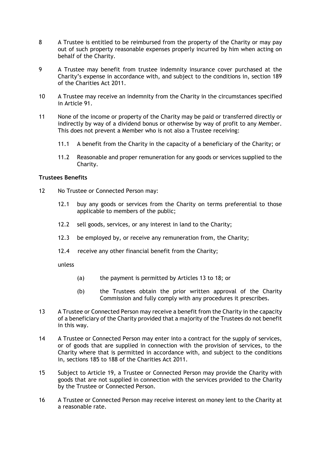- 8 A Trustee is entitled to be reimbursed from the property of the Charity or may pay out of such property reasonable expenses properly incurred by him when acting on behalf of the Charity.
- 9 A Trustee may benefit from trustee indemnity insurance cover purchased at the Charity's expense in accordance with, and subject to the conditions in, section 189 of the Charities Act 2011.
- 10 A Trustee may receive an indemnity from the Charity in the circumstances specified in Article [91.](#page-17-0)
- 11 None of the income or property of the Charity may be paid or transferred directly or indirectly by way of a dividend bonus or otherwise by way of profit to any Member. This does not prevent a Member who is not also a Trustee receiving:
	- 11.1 A benefit from the Charity in the capacity of a beneficiary of the Charity; or
	- 11.2 Reasonable and proper remuneration for any goods or services supplied to the Charity.

## **Trustees Benefits**

- <span id="page-5-2"></span>12 No Trustee or Connected Person may:
	- 12.1 buy any goods or services from the Charity on terms preferential to those applicable to members of the public;
	- 12.2 sell goods, services, or any interest in land to the Charity;
	- 12.3 be employed by, or receive any remuneration from, the Charity;
	- 12.4 receive any other financial benefit from the Charity;

unless

- (a) the payment is permitted by Articles 13 to 18; or
- (b) the Trustees obtain the prior written approval of the Charity Commission and fully comply with any procedures it prescribes.
- 13 A Trustee or Connected Person may receive a benefit from the Charity in the capacity of a beneficiary of the Charity provided that a majority of the Trustees do not benefit in this way.
- <span id="page-5-0"></span>14 A Trustee or Connected Person may enter into a contract for the supply of services, or of goods that are supplied in connection with the provision of services, to the Charity where that is permitted in accordance with, and subject to the conditions in, sections 185 to 188 of the Charities Act 2011.
- <span id="page-5-1"></span>15 Subject to Article [19,](#page-6-0) a Trustee or Connected Person may provide the Charity with goods that are not supplied in connection with the services provided to the Charity by the Trustee or Connected Person.
- 16 A Trustee or Connected Person may receive interest on money lent to the Charity at a reasonable rate.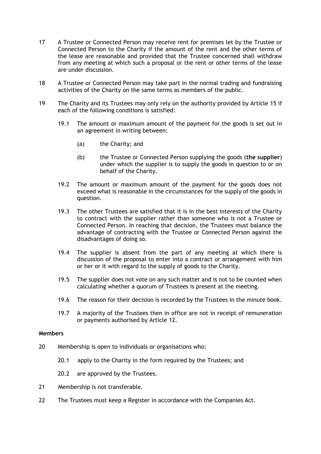- 17 A Trustee or Connected Person may receive rent for premises let by the Trustee or Connected Person to the Charity if the amount of the rent and the other terms of the lease are reasonable and provided that the Trustee concerned shall withdraw from any meeting at which such a proposal or the rent or other terms of the lease are under discussion.
- 18 A Trustee or Connected Person may take part in the normal trading and fundraising activities of the Charity on the same terms as members of the public.
- <span id="page-6-0"></span>19 The Charity and its Trustees may only rely on the authority provided by Article [15](#page-5-1) if each of the following conditions is satisfied:
	- 19.1 The amount or maximum amount of the payment for the goods is set out in an agreement in writing between:
		- (a) the Charity; and
		- (b) the Trustee or Connected Person supplying the goods (**the supplier**) under which the supplier is to supply the goods in question to or on behalf of the Charity.
	- 19.2 The amount or maximum amount of the payment for the goods does not exceed what is reasonable in the circumstances for the supply of the goods in question.
	- 19.3 The other Trustees are satisfied that it is in the best interests of the Charity to contract with the supplier rather than someone who is not a Trustee or Connected Person. In reaching that decision, the Trustees must balance the advantage of contracting with the Trustee or Connected Person against the disadvantages of doing so.
	- 19.4 The supplier is absent from the part of any meeting at which there is discussion of the proposal to enter into a contract or arrangement with him or her or it with regard to the supply of goods to the Charity.
	- 19.5 The supplier does not vote on any such matter and is not to be counted when calculating whether a quorum of Trustees is present at the meeting.
	- 19.6 The reason for their decision is recorded by the Trustees in the minute book.
	- 19.7 A majority of the Trustees then in office are not in receipt of remuneration or payments authorised by Article [12.](#page-5-2)

## **Members**

- 20 Membership is open to individuals or organisations who:
	- 20.1 apply to the Charity in the form required by the Trustees; and
	- 20.2 are approved by the Trustees.
- 21 Membership is not transferable.
- 22 The Trustees must keep a Register in accordance with the Companies Act.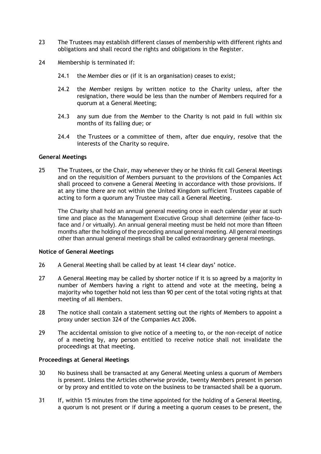- 23 The Trustees may establish different classes of membership with different rights and obligations and shall record the rights and obligations in the Register.
- 24 Membership is terminated if:
	- 24.1 the Member dies or (if it is an organisation) ceases to exist;
	- 24.2 the Member resigns by written notice to the Charity unless, after the resignation, there would be less than the number of Members required for a quorum at a General Meeting;
	- 24.3 any sum due from the Member to the Charity is not paid in full within six months of its falling due; or
	- 24.4 the Trustees or a committee of them, after due enquiry, resolve that the interests of the Charity so require.

#### **General Meetings**

25 The Trustees, or the Chair, may whenever they or he thinks fit call General Meetings and on the requisition of Members pursuant to the provisions of the Companies Act shall proceed to convene a General Meeting in accordance with those provisions. If at any time there are not within the United Kingdom sufficient Trustees capable of acting to form a quorum any Trustee may call a General Meeting.

The Charity shall hold an annual general meeting once in each calendar year at such time and place as the Management Executive Group shall determine (either face-toface and / or virtually). An annual general meeting must be held not more than fifteen months after the holding of the preceding annual general meeting. All general meetings other than annual general meetings shall be called extraordinary general meetings.

#### **Notice of General Meetings**

- 26 A General Meeting shall be called by at least 14 clear days' notice.
- 27 A General Meeting may be called by shorter notice if it is so agreed by a majority in number of Members having a right to attend and vote at the meeting, being a majority who together hold not less than 90 per cent of the total voting rights at that meeting of all Members.
- 28 The notice shall contain a statement setting out the rights of Members to appoint a proxy under section 324 of the Companies Act 2006.
- 29 The accidental omission to give notice of a meeting to, or the non-receipt of notice of a meeting by, any person entitled to receive notice shall not invalidate the proceedings at that meeting.

#### **Proceedings at General Meetings**

- 30 No business shall be transacted at any General Meeting unless a quorum of Members is present. Unless the Articles otherwise provide, twenty Members present in person or by proxy and entitled to vote on the business to be transacted shall be a quorum.
- 31 If, within 15 minutes from the time appointed for the holding of a General Meeting, a quorum is not present or if during a meeting a quorum ceases to be present, the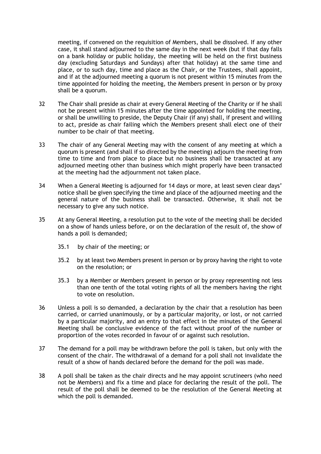meeting, if convened on the requisition of Members, shall be dissolved. If any other case, it shall stand adjourned to the same day in the next week (but if that day falls on a bank holiday or public holiday, the meeting will be held on the first business day (excluding Saturdays and Sundays) after that holiday) at the same time and place, or to such day, time and place as the Chair, or the Trustees, shall appoint, and if at the adjourned meeting a quorum is not present within 15 minutes from the time appointed for holding the meeting, the Members present in person or by proxy shall be a quorum.

- 32 The Chair shall preside as chair at every General Meeting of the Charity or if he shall not be present within 15 minutes after the time appointed for holding the meeting, or shall be unwilling to preside, the Deputy Chair (if any) shall, if present and willing to act, preside as chair failing which the Members present shall elect one of their number to be chair of that meeting.
- 33 The chair of any General Meeting may with the consent of any meeting at which a quorum is present (and shall if so directed by the meeting) adjourn the meeting from time to time and from place to place but no business shall be transacted at any adjourned meeting other than business which might properly have been transacted at the meeting had the adjournment not taken place.
- 34 When a General Meeting is adjourned for 14 days or more, at least seven clear days' notice shall be given specifying the time and place of the adjourned meeting and the general nature of the business shall be transacted. Otherwise, it shall not be necessary to give any such notice.
- 35 At any General Meeting, a resolution put to the vote of the meeting shall be decided on a show of hands unless before, or on the declaration of the result of, the show of hands a poll is demanded;
	- 35.1 by chair of the meeting; or
	- 35.2 by at least two Members present in person or by proxy having the right to vote on the resolution; or
	- 35.3 by a Member or Members present in person or by proxy representing not less than one tenth of the total voting rights of all the members having the right to vote on resolution.
- 36 Unless a poll is so demanded, a declaration by the chair that a resolution has been carried, or carried unanimously, or by a particular majority, or lost, or not carried by a particular majority, and an entry to that effect in the minutes of the General Meeting shall be conclusive evidence of the fact without proof of the number or proportion of the votes recorded in favour of or against such resolution.
- 37 The demand for a poll may be withdrawn before the poll is taken, but only with the consent of the chair. The withdrawal of a demand for a poll shall not invalidate the result of a show of hands declared before the demand for the poll was made.
- 38 A poll shall be taken as the chair directs and he may appoint scrutineers (who need not be Members) and fix a time and place for declaring the result of the poll. The result of the poll shall be deemed to be the resolution of the General Meeting at which the poll is demanded.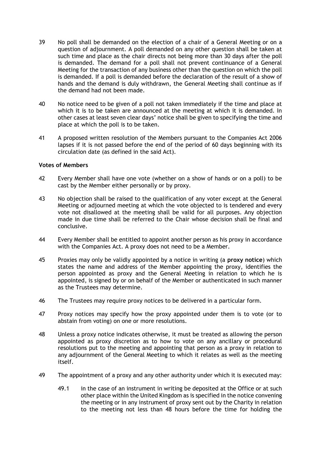- 39 No poll shall be demanded on the election of a chair of a General Meeting or on a question of adjournment. A poll demanded on any other question shall be taken at such time and place as the chair directs not being more than 30 days after the poll is demanded. The demand for a poll shall not prevent continuance of a General Meeting for the transaction of any business other than the question on which the poll is demanded. If a poll is demanded before the declaration of the result of a show of hands and the demand is duly withdrawn, the General Meeting shall continue as if the demand had not been made.
- 40 No notice need to be given of a poll not taken immediately if the time and place at which it is to be taken are announced at the meeting at which it is demanded. In other cases at least seven clear days' notice shall be given to specifying the time and place at which the poll is to be taken.
- 41 A proposed written resolution of the Members pursuant to the Companies Act 2006 lapses if it is not passed before the end of the period of 60 days beginning with its circulation date (as defined in the said Act).

## **Votes of Members**

- 42 Every Member shall have one vote (whether on a show of hands or on a poll) to be cast by the Member either personally or by proxy.
- 43 No objection shall be raised to the qualification of any voter except at the General Meeting or adjourned meeting at which the vote objected to is tendered and every vote not disallowed at the meeting shall be valid for all purposes. Any objection made in due time shall be referred to the Chair whose decision shall be final and conclusive.
- 44 Every Member shall be entitled to appoint another person as his proxy in accordance with the Companies Act. A proxy does not need to be a Member.
- 45 Proxies may only be validly appointed by a notice in writing (a **proxy notice**) which states the name and address of the Member appointing the proxy, identifies the person appointed as proxy and the General Meeting in relation to which he is appointed, is signed by or on behalf of the Member or authenticated in such manner as the Trustees may determine.
- 46 The Trustees may require proxy notices to be delivered in a particular form.
- 47 Proxy notices may specify how the proxy appointed under them is to vote (or to abstain from voting) on one or more resolutions.
- 48 Unless a proxy notice indicates otherwise, it must be treated as allowing the person appointed as proxy discretion as to how to vote on any ancillary or procedural resolutions put to the meeting and appointing that person as a proxy in relation to any adjournment of the General Meeting to which it relates as well as the meeting itself.
- 49 The appointment of a proxy and any other authority under which it is executed may:
	- 49.1 in the case of an instrument in writing be deposited at the Office or at such other place within the United Kingdom as is specified in the notice convening the meeting or in any instrument of proxy sent out by the Charity in relation to the meeting not less than 48 hours before the time for holding the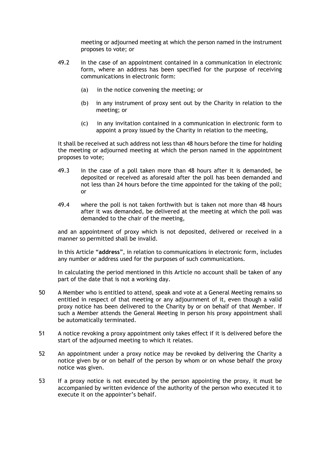meeting or adjourned meeting at which the person named in the instrument proposes to vote; or

- 49.2 in the case of an appointment contained in a communication in electronic form, where an address has been specified for the purpose of receiving communications in electronic form:
	- (a) in the notice convening the meeting; or
	- (b) in any instrument of proxy sent out by the Charity in relation to the meeting; or
	- (c) in any invitation contained in a communication in electronic form to appoint a proxy issued by the Charity in relation to the meeting,

it shall be received at such address not less than 48 hours before the time for holding the meeting or adjourned meeting at which the person named in the appointment proposes to vote;

- 49.3 in the case of a poll taken more than 48 hours after it is demanded, be deposited or received as aforesaid after the poll has been demanded and not less than 24 hours before the time appointed for the taking of the poll; or
- 49.4 where the poll is not taken forthwith but is taken not more than 48 hours after it was demanded, be delivered at the meeting at which the poll was demanded to the chair of the meeting,

and an appointment of proxy which is not deposited, delivered or received in a manner so permitted shall be invalid.

In this Article "**address**", in relation to communications in electronic form, includes any number or address used for the purposes of such communications.

In calculating the period mentioned in this Article no account shall be taken of any part of the date that is not a working day.

- 50 A Member who is entitled to attend, speak and vote at a General Meeting remains so entitled in respect of that meeting or any adjournment of it, even though a valid proxy notice has been delivered to the Charity by or on behalf of that Member. If such a Member attends the General Meeting in person his proxy appointment shall be automatically terminated.
- 51 A notice revoking a proxy appointment only takes effect if it is delivered before the start of the adjourned meeting to which it relates.
- 52 An appointment under a proxy notice may be revoked by delivering the Charity a notice given by or on behalf of the person by whom or on whose behalf the proxy notice was given.
- 53 If a proxy notice is not executed by the person appointing the proxy, it must be accompanied by written evidence of the authority of the person who executed it to execute it on the appointer's behalf.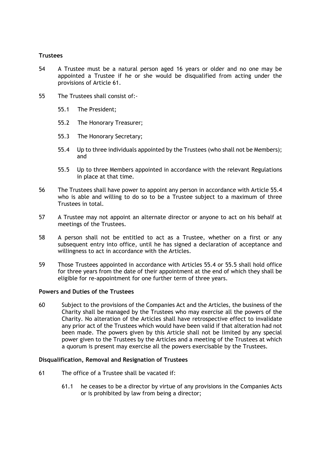# **Trustees**

- 54 A Trustee must be a natural person aged 16 years or older and no one may be appointed a Trustee if he or she would be disqualified from acting under the provisions of Article [61.](#page-11-0)
- 55 The Trustees shall consist of:-
	- 55.1 The President;
	- 55.2 The Honorary Treasurer;
	- 55.3 The Honorary Secretary;
	- 55.4 Up to three individuals appointed by the Trustees (who shall not be Members); and
	- 55.5 Up to three Members appointed in accordance with the relevant Regulations in place at that time.
- 56 The Trustees shall have power to appoint any person in accordance with Article 55.4 who is able and willing to do so to be a Trustee subject to a maximum of three Trustees in total.
- 57 A Trustee may not appoint an alternate director or anyone to act on his behalf at meetings of the Trustees.
- 58 A person shall not be entitled to act as a Trustee, whether on a first or any subsequent entry into office, until he has signed a declaration of acceptance and willingness to act in accordance with the Articles.
- 59 Those Trustees appointed in accordance with Articles 55.4 or 55.5 shall hold office for three years from the date of their appointment at the end of which they shall be eligible for re-appointment for one further term of three years.

# **Powers and Duties of the Trustees**

60 Subject to the provisions of the Companies Act and the Articles, the business of the Charity shall be managed by the Trustees who may exercise all the powers of the Charity. No alteration of the Articles shall have retrospective effect to invalidate any prior act of the Trustees which would have been valid if that alteration had not been made. The powers given by this Article shall not be limited by any special power given to the Trustees by the Articles and a meeting of the Trustees at which a quorum is present may exercise all the powers exercisable by the Trustees.

# **Disqualification, Removal and Resignation of Trustees**

- <span id="page-11-0"></span>61 The office of a Trustee shall be vacated if:
	- 61.1 he ceases to be a director by virtue of any provisions in the Companies Acts or is prohibited by law from being a director;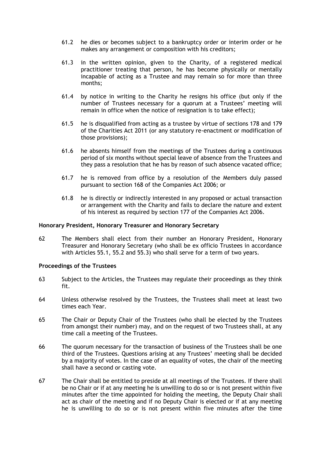- 61.2 he dies or becomes subject to a bankruptcy order or interim order or he makes any arrangement or composition with his creditors;
- 61.3 in the written opinion, given to the Charity, of a registered medical practitioner treating that person, he has become physically or mentally incapable of acting as a Trustee and may remain so for more than three months;
- 61.4 by notice in writing to the Charity he resigns his office (but only if the number of Trustees necessary for a quorum at a Trustees' meeting will remain in office when the notice of resignation is to take effect);
- 61.5 he is disqualified from acting as a trustee by virtue of sections 178 and 179 of the Charities Act 2011 (or any statutory re-enactment or modification of those provisions);
- 61.6 he absents himself from the meetings of the Trustees during a continuous period of six months without special leave of absence from the Trustees and they pass a resolution that he has by reason of such absence vacated office;
- 61.7 he is removed from office by a resolution of the Members duly passed pursuant to section 168 of the Companies Act 2006; or
- 61.8 he is directly or indirectly interested in any proposed or actual transaction or arrangement with the Charity and fails to declare the nature and extent of his interest as required by section 177 of the Companies Act 2006.

#### **Honorary President, Honorary Treasurer and Honorary Secretary**

62 The Members shall elect from their number an Honorary President, Honorary Treasurer and Honorary Secretary (who shall be ex officio Trustees in accordance with Articles 55.1, 55.2 and 55.3) who shall serve for a term of two years.

#### **Proceedings of the Trustees**

- 63 Subject to the Articles, the Trustees may regulate their proceedings as they think fit.
- 64 Unless otherwise resolved by the Trustees, the Trustees shall meet at least two times each Year.
- 65 The Chair or Deputy Chair of the Trustees (who shall be elected by the Trustees from amongst their number) may, and on the request of two Trustees shall, at any time call a meeting of the Trustees.
- 66 The quorum necessary for the transaction of business of the Trustees shall be one third of the Trustees. Questions arising at any Trustees' meeting shall be decided by a majority of votes. In the case of an equality of votes, the chair of the meeting shall have a second or casting vote.
- 67 The Chair shall be entitled to preside at all meetings of the Trustees. If there shall be no Chair or if at any meeting he is unwilling to do so or is not present within five minutes after the time appointed for holding the meeting, the Deputy Chair shall act as chair of the meeting and if no Deputy Chair is elected or if at any meeting he is unwilling to do so or is not present within five minutes after the time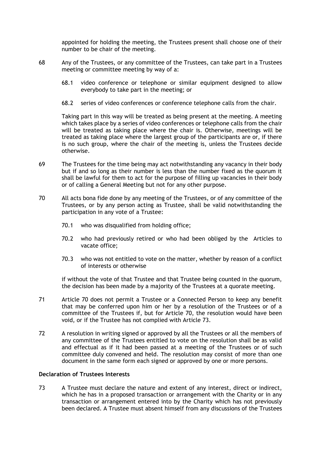appointed for holding the meeting, the Trustees present shall choose one of their number to be chair of the meeting.

- 68 Any of the Trustees, or any committee of the Trustees, can take part in a Trustees meeting or committee meeting by way of a:
	- 68.1 video conference or telephone or similar equipment designed to allow everybody to take part in the meeting; or
	- 68.2 series of video conferences or conference telephone calls from the chair.

Taking part in this way will be treated as being present at the meeting. A meeting which takes place by a series of video conferences or telephone calls from the chair will be treated as taking place where the chair is. Otherwise, meetings will be treated as taking place where the largest group of the participants are or, if there is no such group, where the chair of the meeting is, unless the Trustees decide otherwise.

- 69 The Trustees for the time being may act notwithstanding any vacancy in their body but if and so long as their number is less than the number fixed as the quorum it shall be lawful for them to act for the purpose of filling up vacancies in their body or of calling a General Meeting but not for any other purpose.
- <span id="page-13-0"></span>70 All acts bona fide done by any meeting of the Trustees, or of any committee of the Trustees, or by any person acting as Trustee, shall be valid notwithstanding the participation in any vote of a Trustee:
	- 70.1 who was disqualified from holding office;
	- 70.2 who had previously retired or who had been obliged by the Articles to vacate office;
	- 70.3 who was not entitled to vote on the matter, whether by reason of a conflict of interests or otherwise

if without the vote of that Trustee and that Trustee being counted in the quorum, the decision has been made by a majority of the Trustees at a quorate meeting.

- 71 Article [70](#page-13-0) does not permit a Trustee or a Connected Person to keep any benefit that may be conferred upon him or her by a resolution of the Trustees or of a committee of the Trustees if, but for Article [70,](#page-13-0) the resolution would have been void, or if the Trustee has not complied with Article [73.](#page-13-1)
- 72 A resolution in writing signed or approved by all the Trustees or all the members of any committee of the Trustees entitled to vote on the resolution shall be as valid and effectual as if it had been passed at a meeting of the Trustees or of such committee duly convened and held. The resolution may consist of more than one document in the same form each signed or approved by one or more persons.

# **Declaration of Trustees Interests**

<span id="page-13-1"></span>73 A Trustee must declare the nature and extent of any interest, direct or indirect, which he has in a proposed transaction or arrangement with the Charity or in any transaction or arrangement entered into by the Charity which has not previously been declared. A Trustee must absent himself from any discussions of the Trustees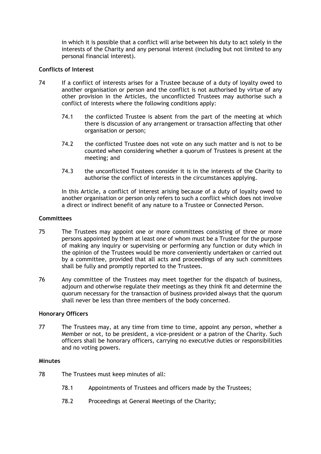in which it is possible that a conflict will arise between his duty to act solely in the interests of the Charity and any personal interest (including but not limited to any personal financial interest).

# **Conflicts of Interest**

- 74 If a conflict of interests arises for a Trustee because of a duty of loyalty owed to another organisation or person and the conflict is not authorised by virtue of any other provision in the Articles, the unconflicted Trustees may authorise such a conflict of interests where the following conditions apply:
	- 74.1 the conflicted Trustee is absent from the part of the meeting at which there is discussion of any arrangement or transaction affecting that other organisation or person;
	- 74.2 the conflicted Trustee does not vote on any such matter and is not to be counted when considering whether a quorum of Trustees is present at the meeting; and
	- 74.3 the unconflicted Trustees consider it is in the interests of the Charity to authorise the conflict of interests in the circumstances applying.

In this Article, a conflict of interest arising because of a duty of loyalty owed to another organisation or person only refers to such a conflict which does not involve a direct or indirect benefit of any nature to a Trustee or Connected Person.

## **Committees**

- 75 The Trustees may appoint one or more committees consisting of three or more persons appointed by them at least one of whom must be a Trustee for the purpose of making any inquiry or supervising or performing any function or duty which in the opinion of the Trustees would be more conveniently undertaken or carried out by a committee, provided that all acts and proceedings of any such committees shall be fully and promptly reported to the Trustees.
- 76 Any committee of the Trustees may meet together for the dispatch of business, adjourn and otherwise regulate their meetings as they think fit and determine the quorum necessary for the transaction of business provided always that the quorum shall never be less than three members of the body concerned.

#### **Honorary Officers**

77 The Trustees may, at any time from time to time, appoint any person, whether a Member or not, to be president, a vice-president or a patron of the Charity. Such officers shall be honorary officers, carrying no executive duties or responsibilities and no voting powers.

#### **Minutes**

- 78 The Trustees must keep minutes of all:
	- 78.1 Appointments of Trustees and officers made by the Trustees;
	- 78.2 Proceedings at General Meetings of the Charity;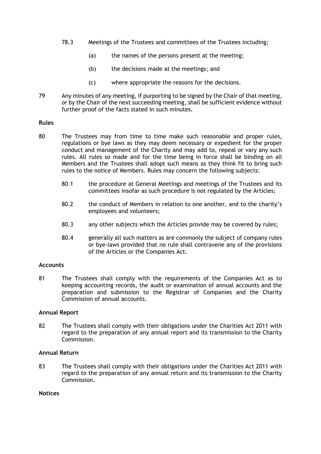- 78.3 Meetings of the Trustees and committees of the Trustees including;
	- (a) the names of the persons present at the meeting;
	- (b) the decisions made at the meetings; and
	- (c) where appropriate the reasons for the decisions.
- 79 Any minutes of any meeting, if purporting to be signed by the Chair of that meeting, or by the Chair of the next succeeding meeting, shall be sufficient evidence without further proof of the facts stated in such minutes.

#### **Rules**

- <span id="page-15-0"></span>80 The Trustees may from time to time make such reasonable and proper rules, regulations or bye laws as they may deem necessary or expedient for the proper conduct and management of the Charity and may add to, repeal or vary any such rules. All rules so made and for the time being in force shall be binding on all Members and the Trustees shall adopt such means as they think fit to bring such rules to the notice of Members. Rules may concern the following subjects:
	- 80.1 the procedure at General Meetings and meetings of the Trustees and its committees insofar as such procedure is not regulated by the Articles;
	- 80.2 the conduct of Members in relation to one another, and to the charity's employees and volunteers;
	- 80.3 any other subjects which the Articles provide may be covered by rules;
	- 80.4 generally all such matters as are commonly the subject of company rules or bye-laws provided that no rule shall contravene any of the provisions of the Articles or the Companies Act.

#### **Accounts**

81 The Trustees shall comply with the requirements of the Companies Act as to keeping accounting records, the audit or examination of annual accounts and the preparation and submission to the Registrar of Companies and the Charity Commission of annual accounts.

#### **Annual Report**

82 The Trustees shall comply with their obligations under the Charities Act 2011 with regard to the preparation of any annual report and its transmission to the Charity Commission.

#### **Annual Return**

83 The Trustees shall comply with their obligations under the Charities Act 2011 with regard to the preparation of any annual return and its transmission to the Charity Commission.

#### **Notices**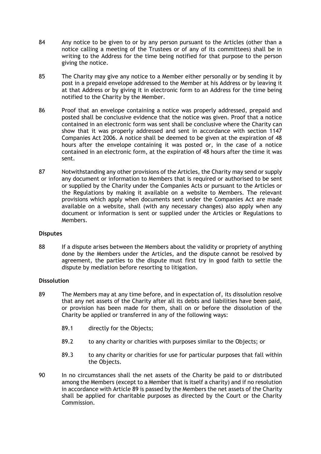- 84 Any notice to be given to or by any person pursuant to the Articles (other than a notice calling a meeting of the Trustees or of any of its committees) shall be in writing to the Address for the time being notified for that purpose to the person giving the notice.
- 85 The Charity may give any notice to a Member either personally or by sending it by post in a prepaid envelope addressed to the Member at his Address or by leaving it at that Address or by giving it in electronic form to an Address for the time being notified to the Charity by the Member.
- 86 Proof that an envelope containing a notice was properly addressed, prepaid and posted shall be conclusive evidence that the notice was given. Proof that a notice contained in an electronic form was sent shall be conclusive where the Charity can show that it was properly addressed and sent in accordance with section 1147 Companies Act 2006. A notice shall be deemed to be given at the expiration of 48 hours after the envelope containing it was posted or, in the case of a notice contained in an electronic form, at the expiration of 48 hours after the time it was sent.
- 87 Notwithstanding any other provisions of the Articles, the Charity may send or supply any document or information to Members that is required or authorised to be sent or supplied by the Charity under the Companies Acts or pursuant to the Articles or the Regulations by making it available on a website to Members. The relevant provisions which apply when documents sent under the Companies Act are made available on a website, shall (with any necessary changes) also apply when any document or information is sent or supplied under the Articles or Regulations to Members.

# **Disputes**

88 If a dispute arises between the Members about the validity or propriety of anything done by the Members under the Articles, and the dispute cannot be resolved by agreement, the parties to the dispute must first try in good faith to settle the dispute by mediation before resorting to litigation.

# **Dissolution**

- <span id="page-16-0"></span>89 The Members may at any time before, and in expectation of, its dissolution resolve that any net assets of the Charity after all its debts and liabilities have been paid, or provision has been made for them, shall on or before the dissolution of the Charity be applied or transferred in any of the following ways:
	- 89.1 directly for the Objects;
	- 89.2 to any charity or charities with purposes similar to the Objects; or
	- 89.3 to any charity or charities for use for particular purposes that fall within the Objects.
- 90 In no circumstances shall the net assets of the Charity be paid to or distributed among the Members (except to a Member that is itself a charity) and if no resolution in accordance with Article [89](#page-16-0) is passed by the Members the net assets of the Charity shall be applied for charitable purposes as directed by the Court or the Charity Commission.